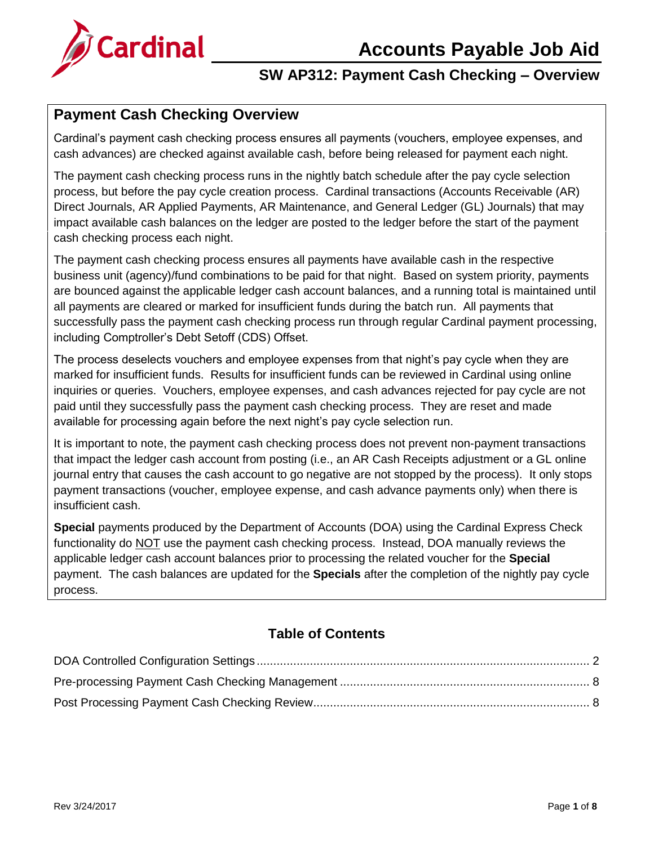

### **SW AP312: Payment Cash Checking – Overview**

## **Payment Cash Checking Overview**

Cardinal's payment cash checking process ensures all payments (vouchers, employee expenses, and cash advances) are checked against available cash, before being released for payment each night.

The payment cash checking process runs in the nightly batch schedule after the pay cycle selection process, but before the pay cycle creation process. Cardinal transactions (Accounts Receivable (AR) Direct Journals, AR Applied Payments, AR Maintenance, and General Ledger (GL) Journals) that may impact available cash balances on the ledger are posted to the ledger before the start of the payment cash checking process each night.

The payment cash checking process ensures all payments have available cash in the respective business unit (agency)/fund combinations to be paid for that night. Based on system priority, payments are bounced against the applicable ledger cash account balances, and a running total is maintained until all payments are cleared or marked for insufficient funds during the batch run. All payments that successfully pass the payment cash checking process run through regular Cardinal payment processing, including Comptroller's Debt Setoff (CDS) Offset.

The process deselects vouchers and employee expenses from that night's pay cycle when they are marked for insufficient funds. Results for insufficient funds can be reviewed in Cardinal using online inquiries or queries. Vouchers, employee expenses, and cash advances rejected for pay cycle are not paid until they successfully pass the payment cash checking process. They are reset and made available for processing again before the next night's pay cycle selection run.

It is important to note, the payment cash checking process does not prevent non-payment transactions that impact the ledger cash account from posting (i.e., an AR Cash Receipts adjustment or a GL online journal entry that causes the cash account to go negative are not stopped by the process). It only stops payment transactions (voucher, employee expense, and cash advance payments only) when there is insufficient cash.

**Special** payments produced by the Department of Accounts (DOA) using the Cardinal Express Check functionality do NOT use the payment cash checking process. Instead, DOA manually reviews the applicable ledger cash account balances prior to processing the related voucher for the **Special** payment. The cash balances are updated for the **Specials** after the completion of the nightly pay cycle process.

### **Table of Contents**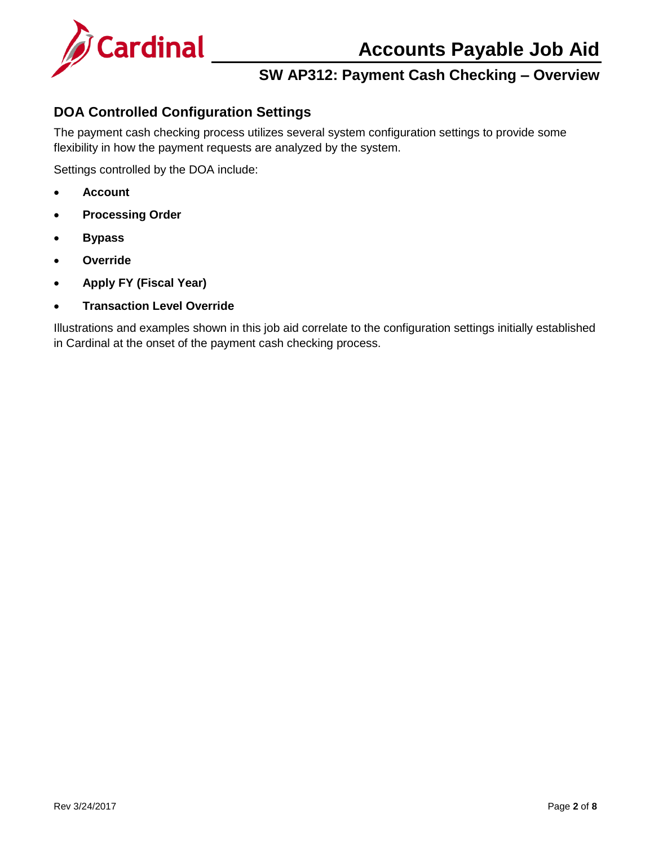

## **SW AP312: Payment Cash Checking – Overview**

### <span id="page-1-0"></span>**DOA Controlled Configuration Settings**

The payment cash checking process utilizes several system configuration settings to provide some flexibility in how the payment requests are analyzed by the system.

Settings controlled by the DOA include:

- **Account**
- **Processing Order**
- **Bypass**
- **Override**
- **Apply FY (Fiscal Year)**
- **Transaction Level Override**

Illustrations and examples shown in this job aid correlate to the configuration settings initially established in Cardinal at the onset of the payment cash checking process.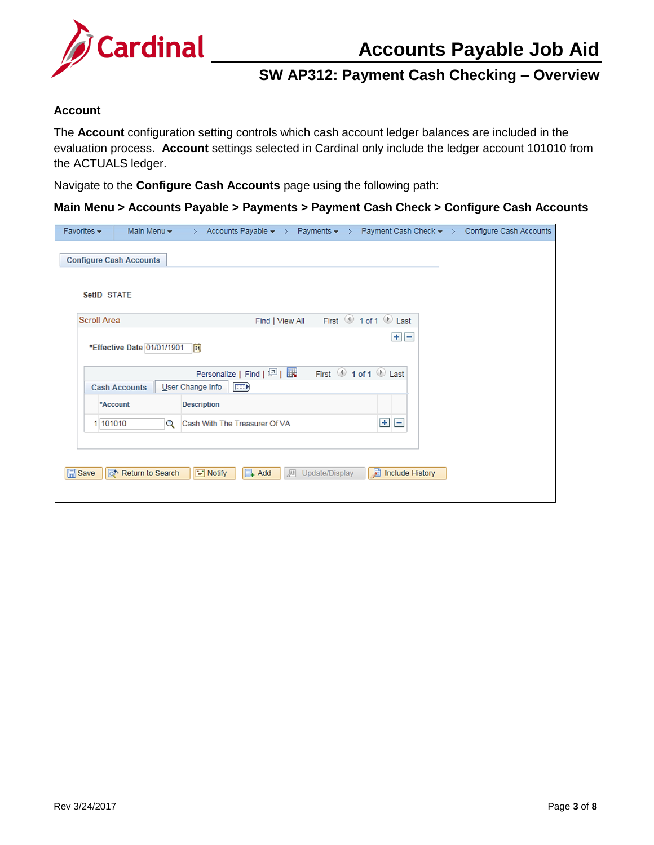

## **SW AP312: Payment Cash Checking – Overview**

#### **Account**

The **Account** configuration setting controls which cash account ledger balances are included in the evaluation process. **Account** settings selected in Cardinal only include the ledger account 101010 from the ACTUALS ledger.

Navigate to the **Configure Cash Accounts** page using the following path:

#### **Main Menu > Accounts Payable > Payments > Payment Cash Check > Configure Cash Accounts**

| Favorites $\star$  | Main Menu $\star$              | Accounts Payable $\star$ > Payments $\star$ ><br>$\geq$  |                     | Payment Cash Check $\star$ > | Configure Cash Accounts |
|--------------------|--------------------------------|----------------------------------------------------------|---------------------|------------------------------|-------------------------|
|                    | <b>Configure Cash Accounts</b> |                                                          |                     |                              |                         |
| SetID STATE        |                                |                                                          |                     |                              |                         |
| <b>Scroll Area</b> |                                | Find   View All                                          |                     | First 1 of 1 D Last          |                         |
|                    | *Effective Date 01/01/1901     | E                                                        |                     | $+$ $-$                      |                         |
|                    | <b>Cash Accounts</b>           | Personalize   Find   2    <br>User Change Info<br>(FEED) |                     | First 1 of 1 2 Last          |                         |
|                    | *Account                       | <b>Description</b>                                       |                     |                              |                         |
| 1 101010           | Q                              | Cash With The Treasurer Of VA                            |                     | $+$<br>$\vert - \vert$       |                         |
|                    |                                |                                                          |                     |                              |                         |
| <b>A</b> Save      | a Return to Search             | $\mathbb{R}$ Add<br>$\equiv$ Notify                      | Update/Display<br>犀 | 屙<br><b>Include History</b>  |                         |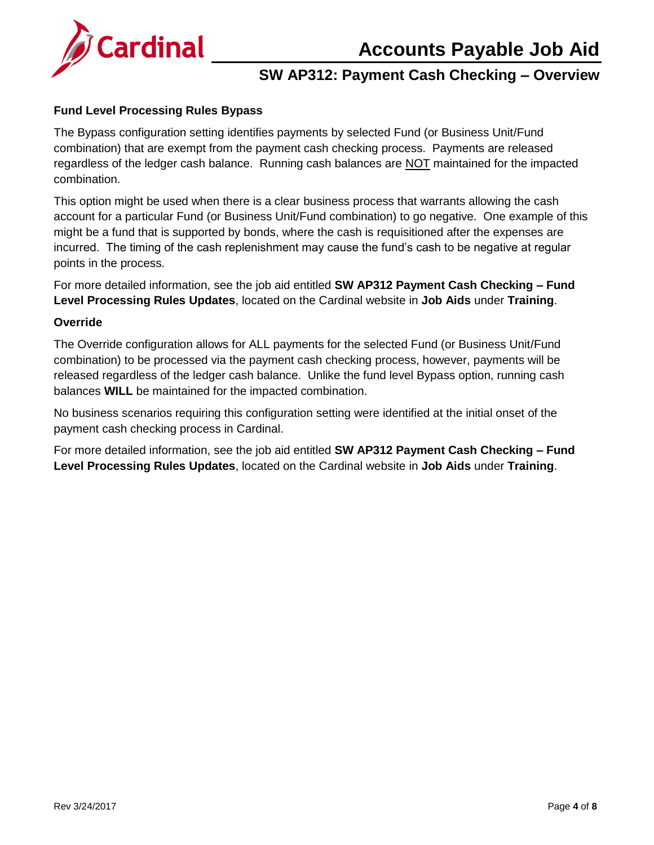

## **SW AP312: Payment Cash Checking – Overview**

### **Fund Level Processing Rules Bypass**

The Bypass configuration setting identifies payments by selected Fund (or Business Unit/Fund combination) that are exempt from the payment cash checking process. Payments are released regardless of the ledger cash balance. Running cash balances are NOT maintained for the impacted combination.

This option might be used when there is a clear business process that warrants allowing the cash account for a particular Fund (or Business Unit/Fund combination) to go negative. One example of this might be a fund that is supported by bonds, where the cash is requisitioned after the expenses are incurred. The timing of the cash replenishment may cause the fund's cash to be negative at regular points in the process.

For more detailed information, see the job aid entitled **SW AP312 Payment Cash Checking – Fund Level Processing Rules Updates**, located on the Cardinal website in **Job Aids** under **Training**.

#### **Override**

The Override configuration allows for ALL payments for the selected Fund (or Business Unit/Fund combination) to be processed via the payment cash checking process, however, payments will be released regardless of the ledger cash balance. Unlike the fund level Bypass option, running cash balances **WILL** be maintained for the impacted combination.

No business scenarios requiring this configuration setting were identified at the initial onset of the payment cash checking process in Cardinal.

For more detailed information, see the job aid entitled **SW AP312 Payment Cash Checking – Fund Level Processing Rules Updates**, located on the Cardinal website in **Job Aids** under **Training**.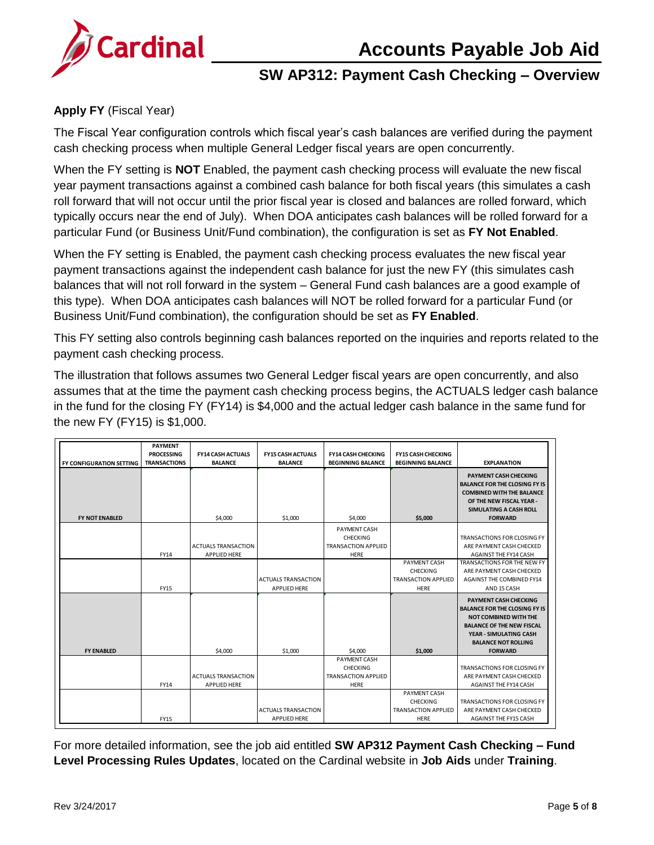

### **SW AP312: Payment Cash Checking – Overview**

### **Apply FY** (Fiscal Year)

The Fiscal Year configuration controls which fiscal year's cash balances are verified during the payment cash checking process when multiple General Ledger fiscal years are open concurrently.

When the FY setting is **NOT** Enabled, the payment cash checking process will evaluate the new fiscal year payment transactions against a combined cash balance for both fiscal years (this simulates a cash roll forward that will not occur until the prior fiscal year is closed and balances are rolled forward, which typically occurs near the end of July). When DOA anticipates cash balances will be rolled forward for a particular Fund (or Business Unit/Fund combination), the configuration is set as **FY Not Enabled**.

When the FY setting is Enabled, the payment cash checking process evaluates the new fiscal year payment transactions against the independent cash balance for just the new FY (this simulates cash balances that will not roll forward in the system – General Fund cash balances are a good example of this type). When DOA anticipates cash balances will NOT be rolled forward for a particular Fund (or Business Unit/Fund combination), the configuration should be set as **FY Enabled**.

This FY setting also controls beginning cash balances reported on the inquiries and reports related to the payment cash checking process.

The illustration that follows assumes two General Ledger fiscal years are open concurrently, and also assumes that at the time the payment cash checking process begins, the ACTUALS ledger cash balance in the fund for the closing FY (FY14) is \$4,000 and the actual ledger cash balance in the same fund for the new FY (FY15) is \$1,000.

|                                 | <b>PAYMENT</b>      |                            |                            |                            |                            |                                                                                                                                                                                  |
|---------------------------------|---------------------|----------------------------|----------------------------|----------------------------|----------------------------|----------------------------------------------------------------------------------------------------------------------------------------------------------------------------------|
|                                 | <b>PROCESSING</b>   | <b>FY14 CASH ACTUALS</b>   | <b>FY15 CASH ACTUALS</b>   | <b>FY14 CASH CHECKING</b>  | <b>FY15 CASH CHECKING</b>  |                                                                                                                                                                                  |
| <b>FY CONFIGURATION SETTING</b> | <b>TRANSACTIONS</b> | <b>BALANCE</b>             | <b>BALANCE</b>             | <b>BEGINNING BALANCE</b>   | <b>BEGINNING BALANCE</b>   | <b>EXPLANATION</b>                                                                                                                                                               |
| <b>FY NOT ENABLED</b>           |                     | \$4,000                    | \$1,000                    | \$4,000                    | \$5.000                    | <b>PAYMENT CASH CHECKING</b><br><b>BALANCE FOR THE CLOSING FY IS</b><br><b>COMBINED WITH THE BALANCE</b><br>OF THE NEW FISCAL YEAR -<br>SIMULATING A CASH ROLL<br><b>FORWARD</b> |
|                                 |                     |                            |                            | <b>PAYMENT CASH</b>        |                            |                                                                                                                                                                                  |
|                                 |                     |                            |                            | CHECKING                   |                            | TRANSACTIONS FOR CLOSING FY                                                                                                                                                      |
|                                 |                     | <b>ACTUALS TRANSACTION</b> |                            | <b>TRANSACTION APPLIED</b> |                            | ARE PAYMENT CASH CHECKED                                                                                                                                                         |
|                                 | FY14                | <b>APPLIED HERE</b>        |                            | <b>HERE</b>                |                            | <b>AGAINST THE FY14 CASH</b>                                                                                                                                                     |
|                                 |                     |                            |                            |                            | PAYMENT CASH               | TRANSACTIONS FOR THE NEW FY                                                                                                                                                      |
|                                 |                     |                            |                            |                            | <b>CHECKING</b>            | ARE PAYMENT CASH CHECKED                                                                                                                                                         |
|                                 |                     |                            | <b>ACTUALS TRANSACTION</b> |                            | <b>TRANSACTION APPLIED</b> | <b>AGAINST THE COMBINED FY14</b>                                                                                                                                                 |
|                                 | <b>FY15</b>         |                            | <b>APPLIED HERE</b>        |                            | <b>HERE</b>                | AND 15 CASH                                                                                                                                                                      |
|                                 |                     |                            |                            |                            |                            | <b>PAYMENT CASH CHECKING</b>                                                                                                                                                     |
|                                 |                     |                            |                            |                            |                            | <b>BALANCE FOR THE CLOSING FY IS</b>                                                                                                                                             |
|                                 |                     |                            |                            |                            |                            | <b>NOT COMBINED WITH THE</b>                                                                                                                                                     |
|                                 |                     |                            |                            |                            |                            | <b>BALANCE OF THE NEW FISCAL</b>                                                                                                                                                 |
|                                 |                     |                            |                            |                            |                            | YEAR - SIMULATING CASH<br><b>BALANCE NOT ROLLING</b>                                                                                                                             |
| <b>FY ENABLED</b>               |                     | \$4,000                    | \$1,000                    | \$4,000                    | \$1,000                    | <b>FORWARD</b>                                                                                                                                                                   |
|                                 |                     |                            |                            | PAYMENT CASH               |                            |                                                                                                                                                                                  |
|                                 |                     |                            |                            | CHECKING                   |                            | <b>TRANSACTIONS FOR CLOSING FY</b>                                                                                                                                               |
|                                 |                     | <b>ACTUALS TRANSACTION</b> |                            | <b>TRANSACTION APPLIED</b> |                            | ARE PAYMENT CASH CHECKED                                                                                                                                                         |
|                                 | FY14                | <b>APPLIED HERE</b>        |                            | <b>HERE</b>                |                            | <b>AGAINST THE FY14 CASH</b>                                                                                                                                                     |
|                                 |                     |                            |                            |                            | PAYMENT CASH               |                                                                                                                                                                                  |
|                                 |                     |                            |                            |                            | <b>CHECKING</b>            | TRANSACTIONS FOR CLOSING FY                                                                                                                                                      |
|                                 |                     |                            | <b>ACTUALS TRANSACTION</b> |                            | <b>TRANSACTION APPLIED</b> | ARE PAYMENT CASH CHECKED                                                                                                                                                         |
|                                 | <b>FY15</b>         |                            | <b>APPLIED HERE</b>        |                            | HERE                       | <b>AGAINST THE FY15 CASH</b>                                                                                                                                                     |

For more detailed information, see the job aid entitled **SW AP312 Payment Cash Checking – Fund Level Processing Rules Updates**, located on the Cardinal website in **Job Aids** under **Training**.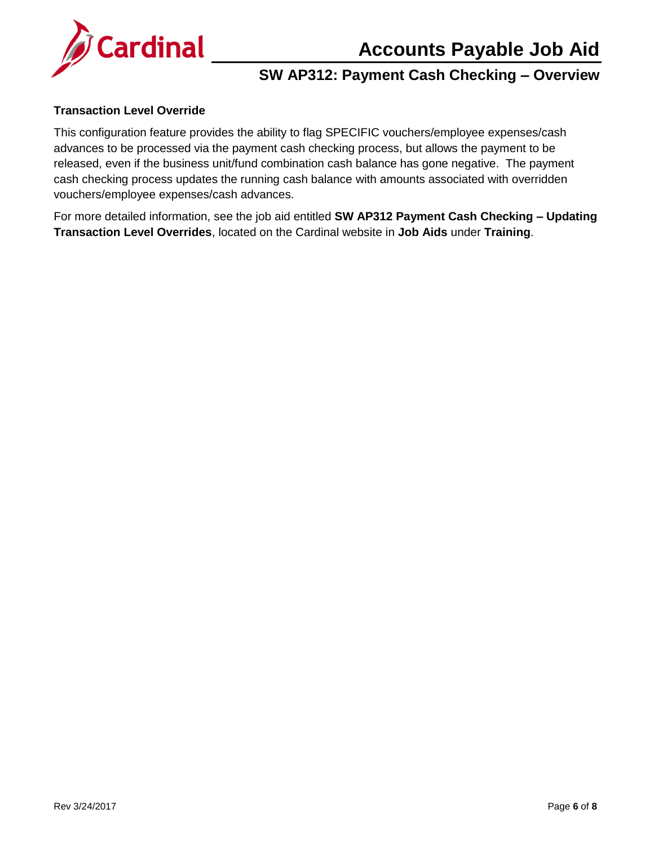

## **SW AP312: Payment Cash Checking – Overview**

#### **Transaction Level Override**

This configuration feature provides the ability to flag SPECIFIC vouchers/employee expenses/cash advances to be processed via the payment cash checking process, but allows the payment to be released, even if the business unit/fund combination cash balance has gone negative. The payment cash checking process updates the running cash balance with amounts associated with overridden vouchers/employee expenses/cash advances.

For more detailed information, see the job aid entitled **SW AP312 Payment Cash Checking – Updating Transaction Level Overrides**, located on the Cardinal website in **Job Aids** under **Training**.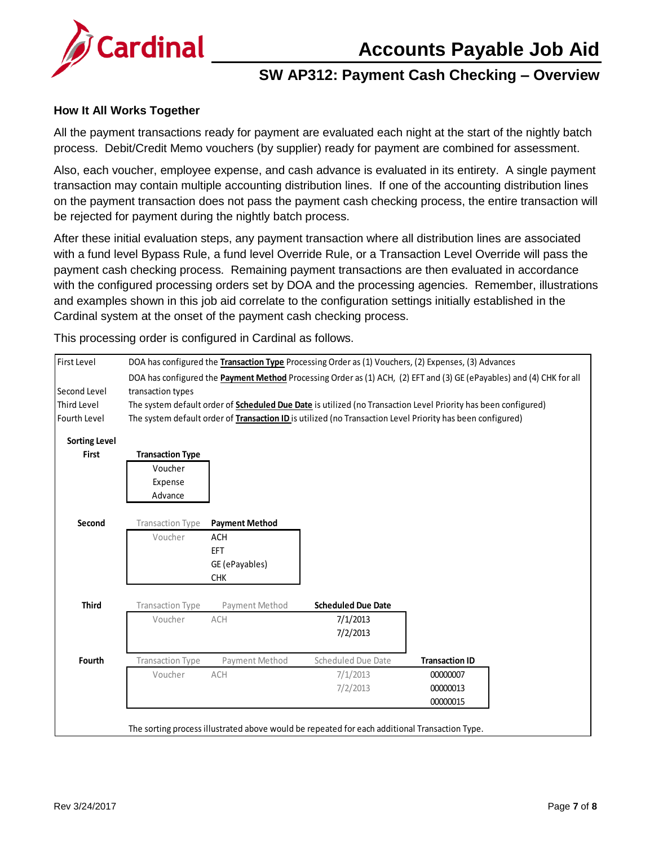

### **SW AP312: Payment Cash Checking – Overview**

### **How It All Works Together**

All the payment transactions ready for payment are evaluated each night at the start of the nightly batch process. Debit/Credit Memo vouchers (by supplier) ready for payment are combined for assessment.

Also, each voucher, employee expense, and cash advance is evaluated in its entirety. A single payment transaction may contain multiple accounting distribution lines. If one of the accounting distribution lines on the payment transaction does not pass the payment cash checking process, the entire transaction will be rejected for payment during the nightly batch process.

After these initial evaluation steps, any payment transaction where all distribution lines are associated with a fund level Bypass Rule, a fund level Override Rule, or a Transaction Level Override will pass the payment cash checking process. Remaining payment transactions are then evaluated in accordance with the configured processing orders set by DOA and the processing agencies. Remember, illustrations and examples shown in this job aid correlate to the configuration settings initially established in the Cardinal system at the onset of the payment cash checking process.

This processing order is configured in Cardinal as follows.